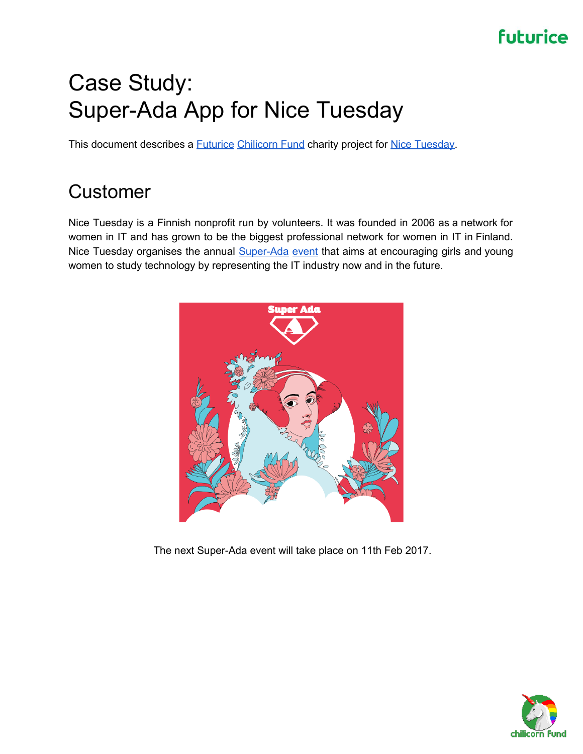# Case Study: Super-Ada App for Nice Tuesday

This document describes a **[Futurice](http://www.futurice.com/) [Chilicorn](http://www.chilicorn.org/) Fund** charity project for **Nice Tuesday**.

# Customer

Nice Tuesday is a Finnish nonprofit run by volunteers. It was founded in 2006 as a network for women in IT and has grown to be the biggest professional network for women in IT in Finland. Nice Tuesday organises the annual **[Super-Ada](http://www.superada.net/) event** that aims at encouraging girls and young women to study technology by representing the IT industry now and in the future.



The next Super-Ada event will take place on 11th Feb 2017.

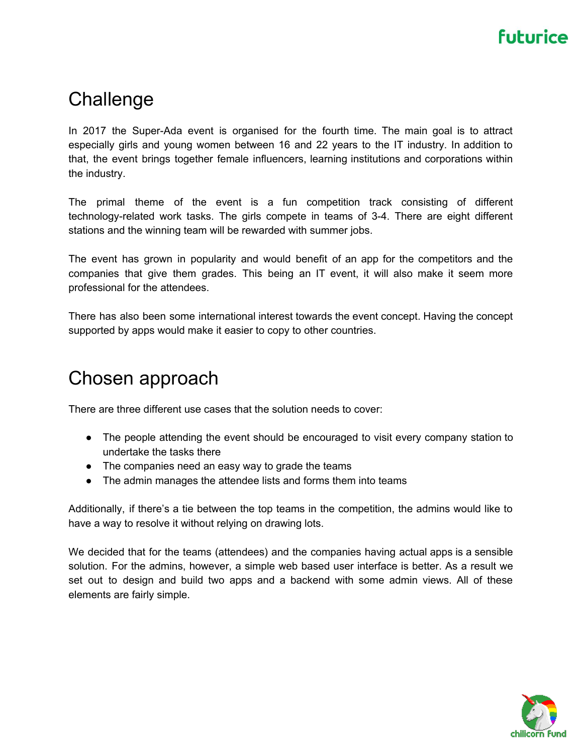### **Challenge**

In 2017 the Super-Ada event is organised for the fourth time. The main goal is to attract especially girls and young women between 16 and 22 years to the IT industry. In addition to that, the event brings together female influencers, learning institutions and corporations within the industry.

The primal theme of the event is a fun competition track consisting of different technology-related work tasks. The girls compete in teams of 3-4. There are eight different stations and the winning team will be rewarded with summer jobs.

The event has grown in popularity and would benefit of an app for the competitors and the companies that give them grades. This being an IT event, it will also make it seem more professional for the attendees.

There has also been some international interest towards the event concept. Having the concept supported by apps would make it easier to copy to other countries.

#### Chosen approach

There are three different use cases that the solution needs to cover:

- The people attending the event should be encouraged to visit every company station to undertake the tasks there
- The companies need an easy way to grade the teams
- The admin manages the attendee lists and forms them into teams

Additionally, if there's a tie between the top teams in the competition, the admins would like to have a way to resolve it without relying on drawing lots.

We decided that for the teams (attendees) and the companies having actual apps is a sensible solution. For the admins, however, a simple web based user interface is better. As a result we set out to design and build two apps and a backend with some admin views. All of these elements are fairly simple.

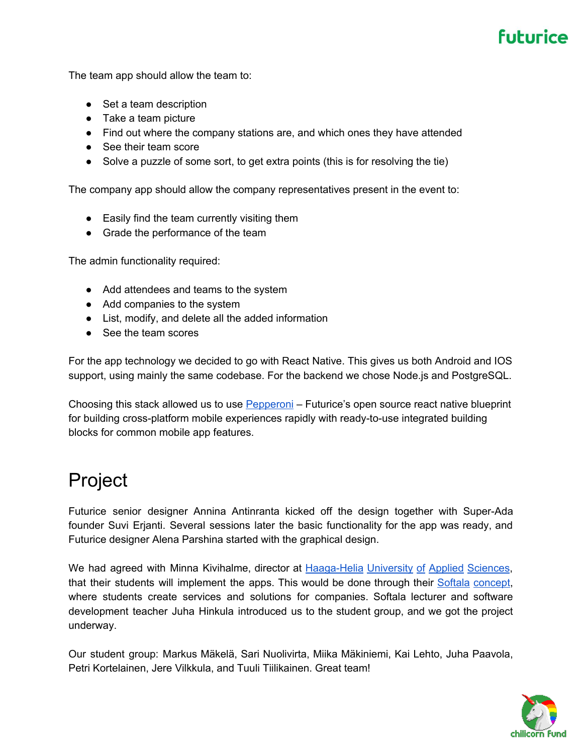The team app should allow the team to:

- Set a team description
- Take a team picture
- Find out where the company stations are, and which ones they have attended
- See their team score
- Solve a puzzle of some sort, to get extra points (this is for resolving the tie)

The company app should allow the company representatives present in the event to:

- Easily find the team currently visiting them
- Grade the performance of the team

The admin functionality required:

- Add attendees and teams to the system
- Add companies to the system
- List, modify, and delete all the added information
- See the team scores

For the app technology we decided to go with React Native. This gives us both Android and IOS support, using mainly the same codebase. For the backend we chose Node.js and PostgreSQL.

Choosing this stack allowed us to use [Pepperoni](http://getpepperoni.com/) – Futurice's open source react native blueprint for building cross-platform mobile experiences rapidly with ready-to-use integrated building blocks for common mobile app features.

#### Project

Futurice senior designer Annina Antinranta kicked off the design together with Super-Ada founder Suvi Erjanti. Several sessions later the basic functionality for the app was ready, and Futurice designer Alena Parshina started with the graphical design.

We had agreed with Minna Kivihalme, director at [Haaga-Helia](http://www.haaga-helia.fi/en/frontpage) University of Applied Sciences, that their students will implement the apps. This would be done through their Softala [concept,](http://www.softala.fi/) where students create services and solutions for companies. Softala lecturer and software development teacher Juha Hinkula introduced us to the student group, and we got the project underway.

Our student group: Markus Mäkelä, Sari Nuolivirta, Miika Mäkiniemi, Kai Lehto, Juha Paavola, Petri Kortelainen, Jere Vilkkula, and Tuuli Tiilikainen. Great team!

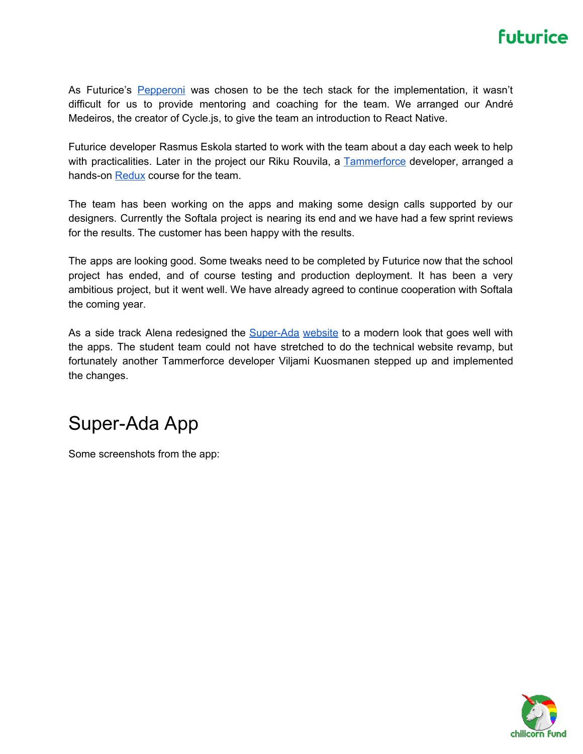As Futurice's [Pepperoni](http://getpepperoni.com/) was chosen to be the tech stack for the implementation, it wasn't difficult for us to provide mentoring and coaching for the team. We arranged our André Medeiros, the creator of Cycle.js, to give the team an introduction to React Native.

Futurice developer Rasmus Eskola started to work with the team about a day each week to help with practicalities. Later in the project our Riku Rouvila, a [Tammerforce](https://tammerforce.futurice.com/) developer, arranged a hands-on [Redux](https://github.com/reactjs/redux) course for the team.

The team has been working on the apps and making some design calls supported by our designers. Currently the Softala project is nearing its end and we have had a few sprint reviews for the results. The customer has been happy with the results.

The apps are looking good. Some tweaks need to be completed by Futurice now that the school project has ended, and of course testing and production deployment. It has been a very ambitious project, but it went well. We have already agreed to continue cooperation with Softala the coming year.

As a side track Alena redesigned the **[Super-Ada](http://www.superada.net/) website** to a modern look that goes well with the apps. The student team could not have stretched to do the technical website revamp, but fortunately another Tammerforce developer Viljami Kuosmanen stepped up and implemented the changes.

#### Super-Ada App

Some screenshots from the app:

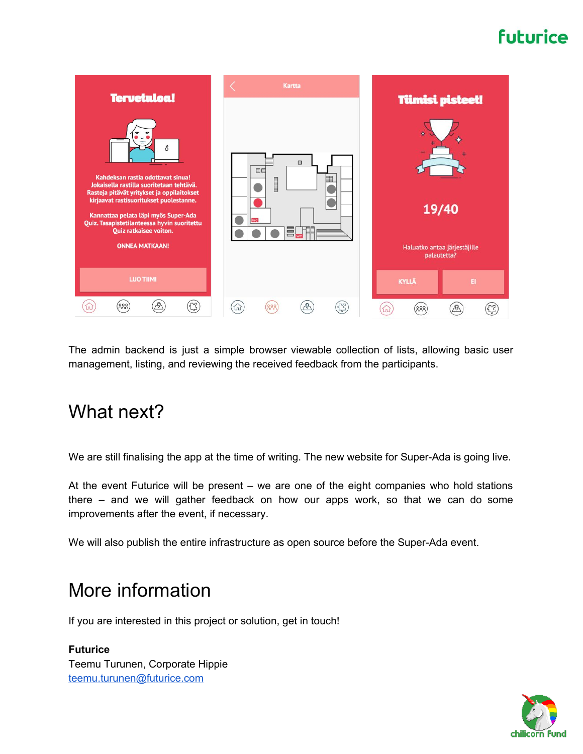

The admin backend is just a simple browser viewable collection of lists, allowing basic user management, listing, and reviewing the received feedback from the participants.

#### What next?

We are still finalising the app at the time of writing. The new website for Super-Ada is going live.

At the event Futurice will be present – we are one of the eight companies who hold stations there – and we will gather feedback on how our apps work, so that we can do some improvements after the event, if necessary.

We will also publish the entire infrastructure as open source before the Super-Ada event.

### More information

If you are interested in this project or solution, get in touch!

**Futurice** Teemu Turunen, Corporate Hippie [teemu.turunen@futurice.com](mailto:teemu.turunen@futurice.com)